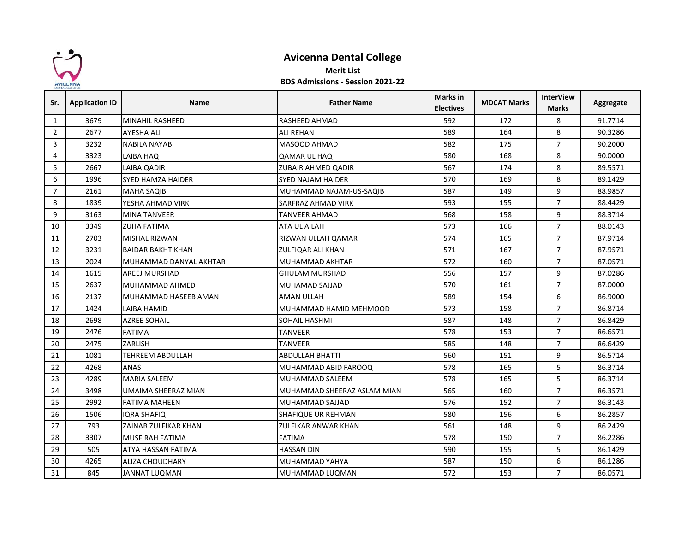

## **Avicenna Dental College**

## **Merit List**

## **BDS Admissions - Session 2021-22**

| Sr.            | <b>Application ID</b> | <b>Name</b>              | <b>Father Name</b>          | Marks in<br><b>Electives</b> | <b>MDCAT Marks</b> | <b>InterView</b><br><b>Marks</b> | Aggregate |
|----------------|-----------------------|--------------------------|-----------------------------|------------------------------|--------------------|----------------------------------|-----------|
| 1              | 3679                  | <b>MINAHIL RASHEED</b>   | <b>RASHEED AHMAD</b>        | 592                          | 172                | 8                                | 91.7714   |
| $\overline{2}$ | 2677                  | AYESHA ALI               | <b>ALI REHAN</b>            | 589                          | 164                | 8                                | 90.3286   |
| 3              | 3232                  | <b>NABILA NAYAB</b>      | <b>MASOOD AHMAD</b>         | 582                          | 175                | $\overline{7}$                   | 90.2000   |
| $\overline{4}$ | 3323                  | LAIBA HAQ                | QAMAR UL HAQ                | 580                          | 168                | 8                                | 90.0000   |
| 5              | 2667                  | LAIBA QADIR              | <b>ZUBAIR AHMED QADIR</b>   | 567                          | 174                | 8                                | 89.5571   |
| 6              | 1996                  | <b>SYED HAMZA HAIDER</b> | <b>SYED NAJAM HAIDER</b>    | 570                          | 169                | 8                                | 89.1429   |
| $\overline{7}$ | 2161                  | <b>MAHA SAQIB</b>        | MUHAMMAD NAJAM-US-SAQIB     | 587                          | 149                | 9                                | 88.9857   |
| 8              | 1839                  | YESHA AHMAD VIRK         | SARFRAZ AHMAD VIRK          | 593                          | 155                | $\overline{7}$                   | 88.4429   |
| 9              | 3163                  | <b>MINA TANVEER</b>      | <b>TANVEER AHMAD</b>        | 568                          | 158                | 9                                | 88.3714   |
| 10             | 3349                  | ZUHA FATIMA              | ATA UL AILAH                | 573                          | 166                | $\overline{7}$                   | 88.0143   |
| 11             | 2703                  | MISHAL RIZWAN            | RIZWAN ULLAH QAMAR          | 574                          | 165                | $\overline{7}$                   | 87.9714   |
| 12             | 3231                  | <b>BAIDAR BAKHT KHAN</b> | ZULFIQAR ALI KHAN           | 571                          | 167                | $\overline{7}$                   | 87.9571   |
| 13             | 2024                  | MUHAMMAD DANYAL AKHTAR   | <b>MUHAMMAD AKHTAR</b>      | 572                          | 160                | $\overline{7}$                   | 87.0571   |
| 14             | 1615                  | AREEJ MURSHAD            | <b>GHULAM MURSHAD</b>       | 556                          | 157                | 9                                | 87.0286   |
| 15             | 2637                  | MUHAMMAD AHMED           | MUHAMAD SAJJAD              | 570                          | 161                | $\overline{7}$                   | 87.0000   |
| 16             | 2137                  | MUHAMMAD HASEEB AMAN     | <b>AMAN ULLAH</b>           | 589                          | 154                | 6                                | 86.9000   |
| 17             | 1424                  | LAIBA HAMID              | MUHAMMAD HAMID MEHMOOD      | 573                          | 158                | $\overline{7}$                   | 86.8714   |
| 18             | 2698                  | AZREE SOHAIL             | SOHAIL HASHMI               | 587                          | 148                | $\overline{7}$                   | 86.8429   |
| 19             | 2476                  | <b>FATIMA</b>            | TANVEER                     | 578                          | 153                | $\overline{7}$                   | 86.6571   |
| 20             | 2475                  | ZARLISH                  | TANVEER                     | 585                          | 148                | $\overline{7}$                   | 86.6429   |
| 21             | 1081                  | <b>TEHREEM ABDULLAH</b>  | <b>ABDULLAH BHATTI</b>      | 560                          | 151                | 9                                | 86.5714   |
| 22             | 4268                  | ANAS                     | MUHAMMAD ABID FAROOQ        | 578                          | 165                | 5                                | 86.3714   |
| 23             | 4289                  | <b>MARIA SALEEM</b>      | <b>MUHAMMAD SALEEM</b>      | 578                          | 165                | 5                                | 86.3714   |
| 24             | 3498                  | UMAIMA SHEERAZ MIAN      | MUHAMMAD SHEERAZ ASLAM MIAN | 565                          | 160                | $\overline{7}$                   | 86.3571   |
| 25             | 2992                  | <b>FATIMA MAHEEN</b>     | MUHAMMAD SAJJAD             | 576                          | 152                | $\overline{7}$                   | 86.3143   |
| 26             | 1506                  | IQRA SHAFIQ              | SHAFIQUE UR REHMAN          | 580                          | 156                | 6                                | 86.2857   |
| 27             | 793                   | ZAINAB ZULFIKAR KHAN     | ZULFIKAR ANWAR KHAN         | 561                          | 148                | 9                                | 86.2429   |
| 28             | 3307                  | MUSFIRAH FATIMA          | <b>FATIMA</b>               | 578                          | 150                | $\overline{7}$                   | 86.2286   |
| 29             | 505                   | ATYA HASSAN FATIMA       | <b>HASSAN DIN</b>           | 590                          | 155                | 5                                | 86.1429   |
| 30             | 4265                  | ALIZA CHOUDHARY          | MUHAMMAD YAHYA              | 587                          | 150                | 6                                | 86.1286   |
| 31             | 845                   | JANNAT LUQMAN            | MUHAMMAD LUQMAN             | 572                          | 153                | $\overline{7}$                   | 86.0571   |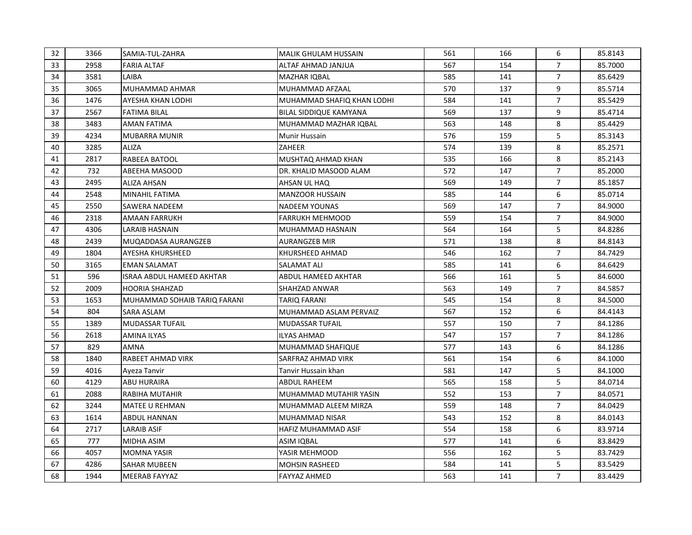| 32 | 3366 | SAMIA-TUL-ZAHRA              | <b>MALIK GHULAM HUSSAIN</b>   | 561 | 166 | 6              | 85.8143 |
|----|------|------------------------------|-------------------------------|-----|-----|----------------|---------|
| 33 | 2958 | <b>FARIA ALTAF</b>           | ALTAF AHMAD JANJUA            | 567 | 154 | $\overline{7}$ | 85.7000 |
| 34 | 3581 | LAIBA                        | <b>MAZHAR IQBAL</b>           | 585 | 141 | $\overline{7}$ | 85.6429 |
| 35 | 3065 | MUHAMMAD AHMAR               | MUHAMMAD AFZAAL               | 570 | 137 | 9              | 85.5714 |
| 36 | 1476 | AYESHA KHAN LODHI            | MUHAMMAD SHAFIQ KHAN LODHI    | 584 | 141 | $\overline{7}$ | 85.5429 |
| 37 | 2567 | <b>FATIMA BILAL</b>          | <b>BILAL SIDDIQUE KAMYANA</b> | 569 | 137 | 9              | 85.4714 |
| 38 | 3483 | <b>AMAN FATIMA</b>           | MUHAMMAD MAZHAR IQBAL         | 563 | 148 | 8              | 85.4429 |
| 39 | 4234 | <b>MUBARRA MUNIR</b>         | Munir Hussain                 | 576 | 159 | 5              | 85.3143 |
| 40 | 3285 | ALIZA                        | ZAHEER                        | 574 | 139 | 8              | 85.2571 |
| 41 | 2817 | <b>RABEEA BATOOL</b>         | MUSHTAQ AHMAD KHAN            | 535 | 166 | 8              | 85.2143 |
| 42 | 732  | ABEEHA MASOOD                | DR. KHALID MASOOD ALAM        | 572 | 147 | $\overline{7}$ | 85.2000 |
| 43 | 2495 | <b>ALIZA AHSAN</b>           | AHSAN UL HAQ                  | 569 | 149 | $\overline{7}$ | 85.1857 |
| 44 | 2548 | <b>MINAHIL FATIMA</b>        | <b>MANZOOR HUSSAIN</b>        | 585 | 144 | 6              | 85.0714 |
| 45 | 2550 | SAWERA NADEEM                | NADEEM YOUNAS                 | 569 | 147 | $\overline{7}$ | 84.9000 |
| 46 | 2318 | <b>AMAAN FARRUKH</b>         | <b>FARRUKH MEHMOOD</b>        | 559 | 154 | $\overline{7}$ | 84.9000 |
| 47 | 4306 | <b>LARAIB HASNAIN</b>        | MUHAMMAD HASNAIN              | 564 | 164 | 5              | 84.8286 |
| 48 | 2439 | MUQADDASA AURANGZEB          | <b>AURANGZEB MIR</b>          | 571 | 138 | 8              | 84.8143 |
| 49 | 1804 | <b>AYESHA KHURSHEED</b>      | KHURSHEED AHMAD               | 546 | 162 | $\overline{7}$ | 84.7429 |
| 50 | 3165 | EMAN SALAMAT                 | SALAMAT ALI                   | 585 | 141 | 6              | 84.6429 |
| 51 | 596  | ISRAA ABDUL HAMEED AKHTAR    | <b>ABDUL HAMEED AKHTAR</b>    | 566 | 161 | 5              | 84.6000 |
| 52 | 2009 | <b>HOORIA SHAHZAD</b>        | SHAHZAD ANWAR                 | 563 | 149 | 7              | 84.5857 |
| 53 | 1653 | MUHAMMAD SOHAIB TARIQ FARANI | TARIQ FARANI                  | 545 | 154 | 8              | 84.5000 |
| 54 | 804  | SARA ASLAM                   | MUHAMMAD ASLAM PERVAIZ        | 567 | 152 | 6              | 84.4143 |
| 55 | 1389 | <b>MUDASSAR TUFAIL</b>       | <b>MUDASSAR TUFAIL</b>        | 557 | 150 | $\overline{7}$ | 84.1286 |
| 56 | 2618 | <b>AMINA ILYAS</b>           | <b>ILYAS AHMAD</b>            | 547 | 157 | $\overline{7}$ | 84.1286 |
| 57 | 829  | AMNA                         | MUHAMMAD SHAFIQUE             | 577 | 143 | 6              | 84.1286 |
| 58 | 1840 | <b>RABEET AHMAD VIRK</b>     | <b>SARFRAZ AHMAD VIRK</b>     | 561 | 154 | 6              | 84.1000 |
| 59 | 4016 | Ayeza Tanvir                 | Tanvir Hussain khan           | 581 | 147 | 5              | 84.1000 |
| 60 | 4129 | <b>ABU HURAIRA</b>           | ABDUL RAHEEM                  | 565 | 158 | 5              | 84.0714 |
| 61 | 2088 | <b>RABIHA MUTAHIR</b>        | MUHAMMAD MUTAHIR YASIN        | 552 | 153 | $\overline{7}$ | 84.0571 |
| 62 | 3244 | <b>MATEE U REHMAN</b>        | MUHAMMAD ALEEM MIRZA          | 559 | 148 | $\overline{7}$ | 84.0429 |
| 63 | 1614 | <b>ABDUL HANNAN</b>          | MUHAMMAD NISAR                | 543 | 152 | 8              | 84.0143 |
| 64 | 2717 | <b>LARAIB ASIF</b>           | HAFIZ MUHAMMAD ASIF           | 554 | 158 | 6              | 83.9714 |
| 65 | 777  | MIDHA ASIM                   | ASIM IQBAL                    | 577 | 141 | 6              | 83.8429 |
| 66 | 4057 | <b>MOMNA YASIR</b>           | YASIR MEHMOOD                 | 556 | 162 | 5              | 83.7429 |
| 67 | 4286 | <b>SAHAR MUBEEN</b>          | <b>MOHSIN RASHEED</b>         | 584 | 141 | 5              | 83.5429 |
| 68 | 1944 | <b>MEERAB FAYYAZ</b>         | <b>FAYYAZ AHMED</b>           | 563 | 141 | $\overline{7}$ | 83.4429 |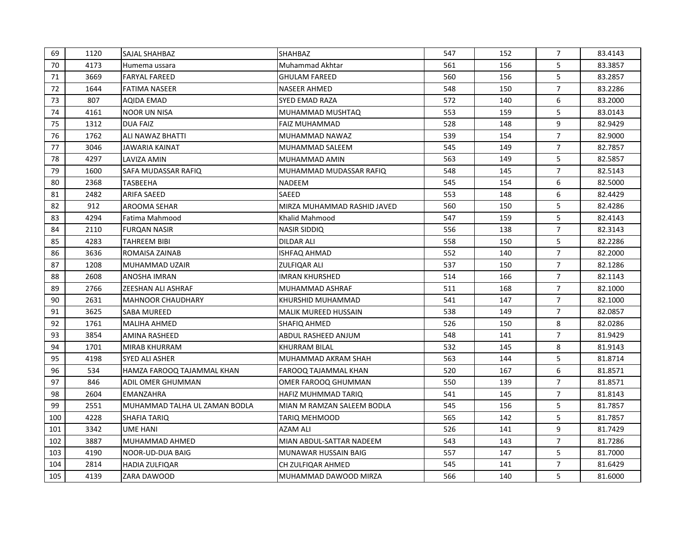| 69  | 1120 | <b>SAJAL SHAHBAZ</b>          | <b>SHAHBAZ</b>              | 547 | 152 | 7              | 83.4143 |
|-----|------|-------------------------------|-----------------------------|-----|-----|----------------|---------|
| 70  | 4173 | Humema ussara                 | Muhammad Akhtar             | 561 | 156 | 5              | 83.3857 |
| 71  | 3669 | <b>FARYAL FAREED</b>          | <b>GHULAM FAREED</b>        | 560 | 156 | 5              | 83.2857 |
| 72  | 1644 | <b>FATIMA NASEER</b>          | NASEER AHMED                | 548 | 150 | $\overline{7}$ | 83.2286 |
| 73  | 807  | AQIDA EMAD                    | SYED EMAD RAZA              | 572 | 140 | 6              | 83.2000 |
| 74  | 4161 | <b>NOOR UN NISA</b>           | MUHAMMAD MUSHTAQ            | 553 | 159 | 5              | 83.0143 |
| 75  | 1312 | <b>DUA FAIZ</b>               | <b>FAIZ MUHAMMAD</b>        | 528 | 148 | 9              | 82.9429 |
| 76  | 1762 | ALI NAWAZ BHATTI              | MUHAMMAD NAWAZ              | 539 | 154 | $\overline{7}$ | 82.9000 |
| 77  | 3046 | JAWARIA KAINAT                | MUHAMMAD SALEEM             | 545 | 149 | $\overline{7}$ | 82.7857 |
| 78  | 4297 | LAVIZA AMIN                   | MUHAMMAD AMIN               | 563 | 149 | 5              | 82.5857 |
| 79  | 1600 | SAFA MUDASSAR RAFIQ           | MUHAMMAD MUDASSAR RAFIQ     | 548 | 145 | $\overline{7}$ | 82.5143 |
| 80  | 2368 | TASBEEHA                      | <b>NADEEM</b>               | 545 | 154 | 6              | 82.5000 |
| 81  | 2482 | ARIFA SAEED                   | SAEED                       | 553 | 148 | 6              | 82.4429 |
| 82  | 912  | AROOMA SEHAR                  | MIRZA MUHAMMAD RASHID JAVED | 560 | 150 | 5              | 82.4286 |
| 83  | 4294 | Fatima Mahmood                | Khalid Mahmood              | 547 | 159 | 5              | 82.4143 |
| 84  | 2110 | <b>FUROAN NASIR</b>           | <b>NASIR SIDDIQ</b>         | 556 | 138 | $\overline{7}$ | 82.3143 |
| 85  | 4283 | <b>TAHREEM BIBI</b>           | DILDAR ALI                  | 558 | 150 | 5              | 82.2286 |
| 86  | 3636 | ROMAISA ZAINAB                | <b>ISHFAQ AHMAD</b>         | 552 | 140 | $\overline{7}$ | 82.2000 |
| 87  | 1208 | MUHAMMAD UZAIR                | <b>ZULFIQAR ALI</b>         | 537 | 150 | $\overline{7}$ | 82.1286 |
| 88  | 2608 | ANOSHA IMRAN                  | <b>IMRAN KHURSHED</b>       | 514 | 166 | $\overline{7}$ | 82.1143 |
| 89  | 2766 | <b>ZEESHAN ALI ASHRAF</b>     | MUHAMMAD ASHRAF             | 511 | 168 | $\overline{7}$ | 82.1000 |
| 90  | 2631 | <b>MAHNOOR CHAUDHARY</b>      | KHURSHID MUHAMMAD           | 541 | 147 | $\overline{7}$ | 82.1000 |
| 91  | 3625 | SABA MUREED                   | <b>MALIK MUREED HUSSAIN</b> | 538 | 149 | $\overline{7}$ | 82.0857 |
| 92  | 1761 | <b>MALIHA AHMED</b>           | SHAFIQ AHMED                | 526 | 150 | 8              | 82.0286 |
| 93  | 3854 | AMINA RASHEED                 | ABDUL RASHEED ANJUM         | 548 | 141 | $\overline{7}$ | 81.9429 |
| 94  | 1701 | <b>MIRAB KHURRAM</b>          | <b>KHURRAM BILAL</b>        | 532 | 145 | 8              | 81.9143 |
| 95  | 4198 | <b>SYED ALI ASHER</b>         | MUHAMMAD AKRAM SHAH         | 563 | 144 | 5              | 81.8714 |
| 96  | 534  | HAMZA FAROOQ TAJAMMAL KHAN    | <b>FAROOQ TAJAMMAL KHAN</b> | 520 | 167 | 6              | 81.8571 |
| 97  | 846  | ADIL OMER GHUMMAN             | OMER FAROOQ GHUMMAN         | 550 | 139 | $\overline{7}$ | 81.8571 |
| 98  | 2604 | <b>EMANZAHRA</b>              | HAFIZ MUHMMAD TARIQ         | 541 | 145 | $\overline{7}$ | 81.8143 |
| 99  | 2551 | MUHAMMAD TALHA UL ZAMAN BODLA | MIAN M RAMZAN SALEEM BODLA  | 545 | 156 | 5              | 81.7857 |
| 100 | 4228 | <b>SHAFIA TARIQ</b>           | TARIQ MEHMOOD               | 565 | 142 | 5              | 81.7857 |
| 101 | 3342 | UME HANI                      | AZAM ALI                    | 526 | 141 | 9              | 81.7429 |
| 102 | 3887 | MUHAMMAD AHMED                | MIAN ABDUL-SATTAR NADEEM    | 543 | 143 | 7              | 81.7286 |
| 103 | 4190 | NOOR-UD-DUA BAIG              | MUNAWAR HUSSAIN BAIG        | 557 | 147 | 5              | 81.7000 |
| 104 | 2814 | <b>HADIA ZULFIQAR</b>         | CH ZULFIQAR AHMED           | 545 | 141 | 7              | 81.6429 |
| 105 | 4139 | ZARA DAWOOD                   | MUHAMMAD DAWOOD MIRZA       | 566 | 140 | 5              | 81.6000 |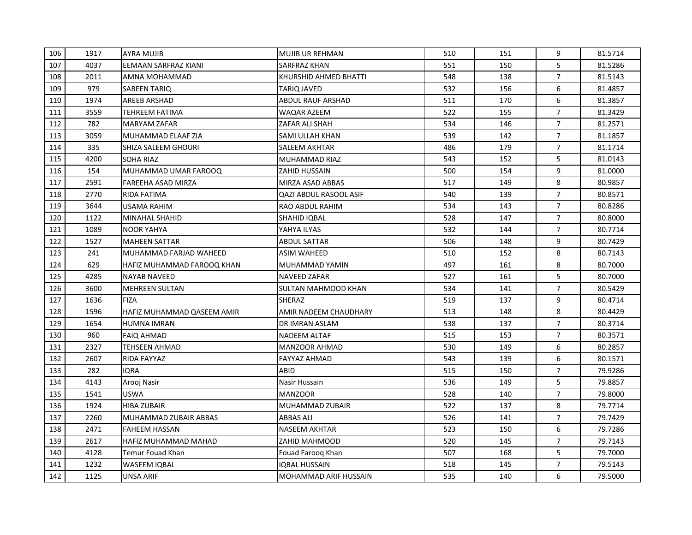| 106 | 1917 | <b>AYRA MUJIB</b>          | <b>MUJIB UR REHMAN</b> | 510 | 151 | 9              | 81.5714 |
|-----|------|----------------------------|------------------------|-----|-----|----------------|---------|
| 107 | 4037 | EEMAAN SARFRAZ KIANI       | SARFRAZ KHAN           | 551 | 150 | 5              | 81.5286 |
| 108 | 2011 | AMNA MOHAMMAD              | KHURSHID AHMED BHATTI  | 548 | 138 | $\overline{7}$ | 81.5143 |
| 109 | 979  | SABEEN TARIQ               | TARIQ JAVED            | 532 | 156 | 6              | 81.4857 |
| 110 | 1974 | AREEB ARSHAD               | ABDUL RAUF ARSHAD      | 511 | 170 | 6              | 81.3857 |
| 111 | 3559 | TEHREEM FATIMA             | WAQAR AZEEM            | 522 | 155 | $\overline{7}$ | 81.3429 |
| 112 | 782  | MARYAM ZAFAR               | ZAFAR ALI SHAH         | 534 | 146 | $\overline{7}$ | 81.2571 |
| 113 | 3059 | MUHAMMAD ELAAF ZIA         | SAMI ULLAH KHAN        | 539 | 142 | $\overline{7}$ | 81.1857 |
| 114 | 335  | SHIZA SALEEM GHOURI        | SALEEM AKHTAR          | 486 | 179 | $\overline{7}$ | 81.1714 |
| 115 | 4200 | SOHA RIAZ                  | MUHAMMAD RIAZ          | 543 | 152 | 5              | 81.0143 |
| 116 | 154  | MUHAMMAD UMAR FAROOQ       | ZAHID HUSSAIN          | 500 | 154 | 9              | 81.0000 |
| 117 | 2591 | <b>FAREEHA ASAD MIRZA</b>  | MIRZA ASAD ABBAS       | 517 | 149 | 8              | 80.9857 |
| 118 | 2770 | RIDA FATIMA                | QAZI ABDUL RASOOL ASIF | 540 | 139 | $\overline{7}$ | 80.8571 |
| 119 | 3644 | USAMA RAHIM                | <b>RAO ABDUL RAHIM</b> | 534 | 143 | $\overline{7}$ | 80.8286 |
| 120 | 1122 | MINAHAL SHAHID             | SHAHID IQBAL           | 528 | 147 | $\overline{7}$ | 80.8000 |
| 121 | 1089 | <b>NOOR YAHYA</b>          | YAHYA ILYAS            | 532 | 144 | $\overline{7}$ | 80.7714 |
| 122 | 1527 | <b>MAHEEN SATTAR</b>       | ABDUL SATTAR           | 506 | 148 | 9              | 80.7429 |
| 123 | 241  | MUHAMMAD FARJAD WAHEED     | ASIM WAHEED            | 510 | 152 | 8              | 80.7143 |
| 124 | 629  | HAFIZ MUHAMMAD FAROOQ KHAN | MUHAMMAD YAMIN         | 497 | 161 | 8              | 80.7000 |
| 125 | 4285 | NAYAB NAVEED               | <b>NAVEED ZAFAR</b>    | 527 | 161 | 5              | 80.7000 |
| 126 | 3600 | <b>MEHREEN SULTAN</b>      | SULTAN MAHMOOD KHAN    | 534 | 141 | 7              | 80.5429 |
| 127 | 1636 | <b>FIZA</b>                | SHERAZ                 | 519 | 137 | 9              | 80.4714 |
| 128 | 1596 | HAFIZ MUHAMMAD QASEEM AMIR | AMIR NADEEM CHAUDHARY  | 513 | 148 | 8              | 80.4429 |
| 129 | 1654 | HUMNA IMRAN                | DR IMRAN ASLAM         | 538 | 137 | 7              | 80.3714 |
| 130 | 960  | <b>FAIQ AHMAD</b>          | <b>NADEEM ALTAF</b>    | 515 | 153 | 7              | 80.3571 |
| 131 | 2327 | TEHSEEN AHMAD              | <b>MANZOOR AHMAD</b>   | 530 | 149 | 6              | 80.2857 |
| 132 | 2607 | RIDA FAYYAZ                | <b>FAYYAZ AHMAD</b>    | 543 | 139 | 6              | 80.1571 |
| 133 | 282  | IQRA                       | <b>ABID</b>            | 515 | 150 | $\overline{7}$ | 79.9286 |
| 134 | 4143 | Arooj Nasir                | Nasir Hussain          | 536 | 149 | 5              | 79.8857 |
| 135 | 1541 | <b>USWA</b>                | <b>MANZOOR</b>         | 528 | 140 | $\overline{7}$ | 79.8000 |
| 136 | 1924 | <b>HIBA ZUBAIR</b>         | MUHAMMAD ZUBAIR        | 522 | 137 | 8              | 79.7714 |
| 137 | 2260 | MUHAMMAD ZUBAIR ABBAS      | <b>ABBAS ALI</b>       | 526 | 141 | 7              | 79.7429 |
| 138 | 2471 | <b>FAHEEM HASSAN</b>       | <b>NASEEM AKHTAR</b>   | 523 | 150 | 6              | 79.7286 |
| 139 | 2617 | HAFIZ MUHAMMAD MAHAD       | ZAHID MAHMOOD          | 520 | 145 | 7              | 79.7143 |
| 140 | 4128 | Temur Fouad Khan           | Fouad Farooq Khan      | 507 | 168 | 5              | 79.7000 |
| 141 | 1232 | <b>WASEEM IQBAL</b>        | <b>IQBAL HUSSAIN</b>   | 518 | 145 | 7              | 79.5143 |
| 142 | 1125 | UNSA ARIF                  | MOHAMMAD ARIF HUSSAIN  | 535 | 140 | 6              | 79.5000 |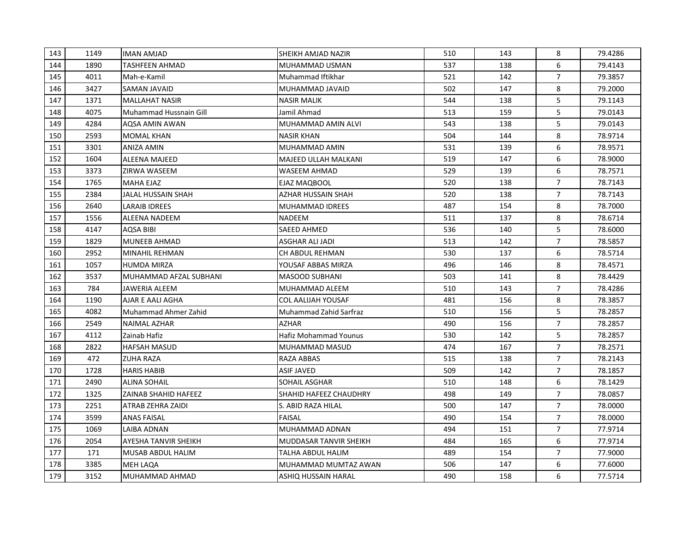| 143 | 1149 | <b>IMAN AMJAD</b>           | SHEIKH AMJAD NAZIR     | 510 | 143 | 8              | 79.4286 |
|-----|------|-----------------------------|------------------------|-----|-----|----------------|---------|
| 144 | 1890 | TASHFEEN AHMAD              | MUHAMMAD USMAN         | 537 | 138 | 6              | 79.4143 |
| 145 | 4011 | Mah-e-Kamil                 | Muhammad Iftikhar      | 521 | 142 | $\overline{7}$ | 79.3857 |
| 146 | 3427 | SAMAN JAVAID                | MUHAMMAD JAVAID        | 502 | 147 | 8              | 79.2000 |
| 147 | 1371 | <b>MALLAHAT NASIR</b>       | <b>NASIR MALIK</b>     | 544 | 138 | 5              | 79.1143 |
| 148 | 4075 | Muhammad Hussnain Gill      | Jamil Ahmad            | 513 | 159 | 5              | 79.0143 |
| 149 | 4284 | AQSA AMIN AWAN              | MUHAMMAD AMIN ALVI     | 543 | 138 | 5              | 79.0143 |
| 150 | 2593 | <b>MOMAL KHAN</b>           | <b>NASIR KHAN</b>      | 504 | 144 | 8              | 78.9714 |
| 151 | 3301 | ANIZA AMIN                  | MUHAMMAD AMIN          | 531 | 139 | 6              | 78.9571 |
| 152 | 1604 | <b>ALEENA MAJEED</b>        | MAJEED ULLAH MALKANI   | 519 | 147 | 6              | 78.9000 |
| 153 | 3373 | ZIRWA WASEEM                | <b>WASEEM AHMAD</b>    | 529 | 139 | 6              | 78.7571 |
| 154 | 1765 | <b>MAHA EJAZ</b>            | EJAZ MAQBOOL           | 520 | 138 | $\overline{7}$ | 78.7143 |
| 155 | 2384 | JALAL HUSSAIN SHAH          | AZHAR HUSSAIN SHAH     | 520 | 138 | $\overline{7}$ | 78.7143 |
| 156 | 2640 | LARAIB IDREES               | IMUHAMMAD IDREES       | 487 | 154 | 8              | 78.7000 |
| 157 | 1556 | <b>ALEENA NADEEM</b>        | NADEEM                 | 511 | 137 | 8              | 78.6714 |
| 158 | 4147 | AQSA BIBI                   | SAEED AHMED            | 536 | 140 | 5              | 78.6000 |
| 159 | 1829 | <b>MUNEEB AHMAD</b>         | ASGHAR ALI JADI        | 513 | 142 | $\overline{7}$ | 78.5857 |
| 160 | 2952 | MINAHIL REHMAN              | CH ABDUL REHMAN        | 530 | 137 | 6              | 78.5714 |
| 161 | 1057 | <b>HUMDA MIRZA</b>          | YOUSAF ABBAS MIRZA     | 496 | 146 | 8              | 78.4571 |
| 162 | 3537 | MUHAMMAD AFZAL SUBHANI      | <b>MASOOD SUBHANI</b>  | 503 | 141 | 8              | 78.4429 |
| 163 | 784  | JAWERIA ALEEM               | MUHAMMAD ALEEM         | 510 | 143 | $\overline{7}$ | 78.4286 |
| 164 | 1190 | AJAR E AALI AGHA            | COL AALIJAH YOUSAF     | 481 | 156 | 8              | 78.3857 |
| 165 | 4082 | Muhammad Ahmer Zahid        | Muhammad Zahid Sarfraz | 510 | 156 | 5              | 78.2857 |
| 166 | 2549 | NAIMAL AZHAR                | AZHAR                  | 490 | 156 | $\overline{7}$ | 78.2857 |
| 167 | 4112 | Zainab Hafiz                | Hafiz Mohammad Younus  | 530 | 142 | 5              | 78.2857 |
| 168 | 2822 | <b>HAFSAH MASUD</b>         | MUHAMMAD MASUD         | 474 | 167 | $\overline{7}$ | 78.2571 |
| 169 | 472  | <b>ZUHA RAZA</b>            | RAZA ABBAS             | 515 | 138 | $\overline{7}$ | 78.2143 |
| 170 | 1728 | <b>HARIS HABIB</b>          | ASIF JAVED             | 509 | 142 | $\overline{7}$ | 78.1857 |
| 171 | 2490 | <b>ALINA SOHAIL</b>         | SOHAIL ASGHAR          | 510 | 148 | 6              | 78.1429 |
| 172 | 1325 | ZAINAB SHAHID HAFEEZ        | SHAHID HAFEEZ CHAUDHRY | 498 | 149 | $\overline{7}$ | 78.0857 |
| 173 | 2251 | <b>ATRAB ZEHRA ZAIDI</b>    | S. ABID RAZA HILAL     | 500 | 147 | $\overline{7}$ | 78,0000 |
| 174 | 3599 | <b>ANAS FAISAL</b>          | <b>FAISAL</b>          | 490 | 154 | $\overline{7}$ | 78.0000 |
| 175 | 1069 | LAIBA ADNAN                 | MUHAMMAD ADNAN         | 494 | 151 | $\overline{7}$ | 77.9714 |
| 176 | 2054 | <b>AYESHA TANVIR SHEIKH</b> | MUDDASAR TANVIR SHEIKH | 484 | 165 | 6              | 77.9714 |
| 177 | 171  | <b>MUSAB ABDUL HALIM</b>    | TALHA ABDUL HALIM      | 489 | 154 | $\overline{7}$ | 77.9000 |
| 178 | 3385 | MEH LAQA                    | MUHAMMAD MUMTAZ AWAN   | 506 | 147 | 6              | 77.6000 |
| 179 | 3152 | MUHAMMAD AHMAD              | ASHIQ HUSSAIN HARAL    | 490 | 158 | 6              | 77.5714 |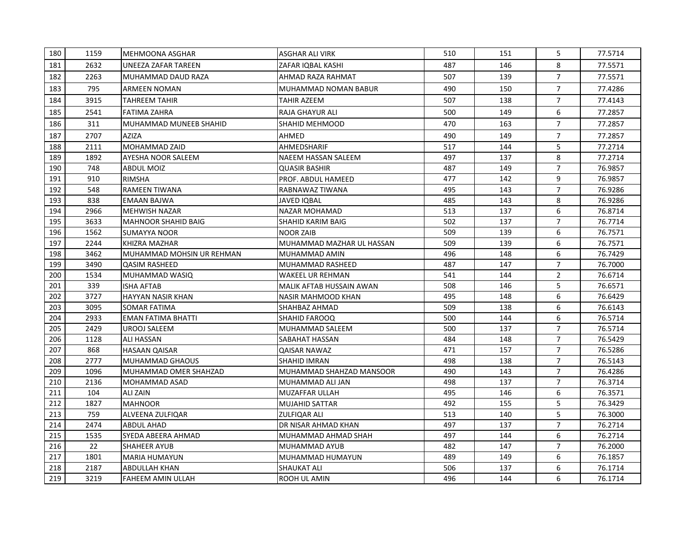| 180 | 1159 | <b>I</b> MEHMOONA ASGHAR      | <b>ASGHAR ALI VIRK</b>          | 510 | 151 | 5              | 77.5714 |
|-----|------|-------------------------------|---------------------------------|-----|-----|----------------|---------|
| 181 | 2632 | <b>UNEEZA ZAFAR TAREEN</b>    | ZAFAR IQBAL KASHI               | 487 | 146 | 8              | 77.5571 |
| 182 | 2263 | MUHAMMAD DAUD RAZA            | AHMAD RAZA RAHMAT               | 507 | 139 | $\overline{7}$ | 77.5571 |
| 183 | 795  | ARMEEN NOMAN                  | MUHAMMAD NOMAN BABUR            | 490 | 150 | $\overline{7}$ | 77.4286 |
| 184 | 3915 | <b>TAHREEM TAHIR</b>          | TAHIR AZEEM                     | 507 | 138 | $\overline{7}$ | 77.4143 |
| 185 | 2541 | <b>FATIMA ZAHRA</b>           | RAJA GHAYUR ALI                 | 500 | 149 | 6              | 77.2857 |
| 186 | 311  | <b>MUHAMMAD MUNEEB SHAHID</b> | <b>SHAHID MEHMOOD</b>           | 470 | 163 | $\overline{7}$ | 77.2857 |
| 187 | 2707 | <b>AZIZA</b>                  | AHMED                           | 490 | 149 | $\overline{7}$ | 77.2857 |
| 188 | 2111 | <b>MOHAMMAD ZAID</b>          | <b>AHMEDSHARIF</b>              | 517 | 144 | 5              | 77.2714 |
| 189 | 1892 | AYESHA NOOR SALEEM            | NAEEM HASSAN SALEEM             | 497 | 137 | 8              | 77.2714 |
| 190 | 748  | <b>ABDUL MOIZ</b>             | <b>QUASIR BASHIR</b>            | 487 | 149 | $\overline{7}$ | 76.9857 |
| 191 | 910  | <b>RIMSHA</b>                 | <b>PROF. ABDUL HAMEED</b>       | 477 | 142 | 9              | 76.9857 |
| 192 | 548  | <b>RAMEEN TIWANA</b>          | RABNAWAZ TIWANA                 | 495 | 143 | $\overline{7}$ | 76.9286 |
| 193 | 838  | <b>EMAAN BAJWA</b>            | <b>JAVED IQBAL</b>              | 485 | 143 | 8              | 76.9286 |
| 194 | 2966 | <b>MEHWISH NAZAR</b>          | <b>NAZAR MOHAMAD</b>            | 513 | 137 | 6              | 76.8714 |
| 195 | 3633 | <b>MAHNOOR SHAHID BAIG</b>    | <b>SHAHID KARIM BAIG</b>        | 502 | 137 | $\overline{7}$ | 76.7714 |
| 196 | 1562 | <b>SUMAYYA NOOR</b>           | <b>NOOR ZAIB</b>                | 509 | 139 | 6              | 76.7571 |
| 197 | 2244 | KHIZRA MAZHAR                 | MUHAMMAD MAZHAR UL HASSAN       | 509 | 139 | 6              | 76.7571 |
| 198 | 3462 | IMUHAMMAD MOHSIN UR REHMAN    | MUHAMMAD AMIN                   | 496 | 148 | 6              | 76.7429 |
| 199 | 3490 | <b>QASIM RASHEED</b>          | MUHAMMAD RASHEED                | 487 | 147 | $\overline{7}$ | 76.7000 |
| 200 | 1534 | MUHAMMAD WASIQ                | <b>WAKEEL UR REHMAN</b>         | 541 | 144 | $\overline{2}$ | 76.6714 |
| 201 | 339  | <b>ISHA AFTAB</b>             | <b>MALIK AFTAB HUSSAIN AWAN</b> | 508 | 146 | 5              | 76.6571 |
| 202 | 3727 | <b>HAYYAN NASIR KHAN</b>      | NASIR MAHMOOD KHAN              | 495 | 148 | 6              | 76.6429 |
| 203 | 3095 | <b>SOMAR FATIMA</b>           | SHAHBAZ AHMAD                   | 509 | 138 | 6              | 76.6143 |
| 204 | 2933 | <b>EMAN FATIMA BHATTI</b>     | <b>SHAHID FAROOQ</b>            | 500 | 144 | 6              | 76.5714 |
| 205 | 2429 | UROOJ SALEEM                  | MUHAMMAD SALEEM                 | 500 | 137 | $\overline{7}$ | 76.5714 |
| 206 | 1128 | ALI HASSAN                    | SABAHAT HASSAN                  | 484 | 148 | $\overline{7}$ | 76.5429 |
| 207 | 868  | <b>HASAAN QAISAR</b>          | <b>QAISAR NAWAZ</b>             | 471 | 157 | $\overline{7}$ | 76.5286 |
| 208 | 2777 | MUHAMMAD GHAOUS               | SHAHID IMRAN                    | 498 | 138 | $\overline{7}$ | 76.5143 |
| 209 | 1096 | MUHAMMAD OMER SHAHZAD         | MUHAMMAD SHAHZAD MANSOOR        | 490 | 143 | $\overline{7}$ | 76.4286 |
| 210 | 2136 | <b>MOHAMMAD ASAD</b>          | MUHAMMAD ALI JAN                | 498 | 137 | $\overline{7}$ | 76.3714 |
| 211 | 104  | <b>ALIZAIN</b>                | <b>MUZAFFAR ULLAH</b>           | 495 | 146 | 6              | 76.3571 |
| 212 | 1827 | <b>MAHNOOR</b>                | <b>MUJAHID SATTAR</b>           | 492 | 155 | 5              | 76.3429 |
| 213 | 759  | <b>ALVEENA ZULFIQAR</b>       | <b>ZULFIQAR ALI</b>             | 513 | 140 | 5              | 76.3000 |
| 214 | 2474 | <b>ABDUL AHAD</b>             | DR NISAR AHMAD KHAN             | 497 | 137 | $\overline{7}$ | 76.2714 |
| 215 | 1535 | SYEDA ABEERA AHMAD            | MUHAMMAD AHMAD SHAH             | 497 | 144 | 6              | 76.2714 |
| 216 | 22   | <b>SHAHEER AYUB</b>           | MUHAMMAD AYUB                   | 482 | 147 | $\overline{7}$ | 76.2000 |
| 217 | 1801 | <b>MARIA HUMAYUN</b>          | MUHAMMAD HUMAYUN                | 489 | 149 | 6              | 76.1857 |
| 218 | 2187 | ABDULLAH KHAN                 | <b>SHAUKAT ALI</b>              | 506 | 137 | 6              | 76.1714 |
| 219 | 3219 | <b>FAHEEM AMIN ULLAH</b>      | ROOH UL AMIN                    | 496 | 144 | 6              | 76.1714 |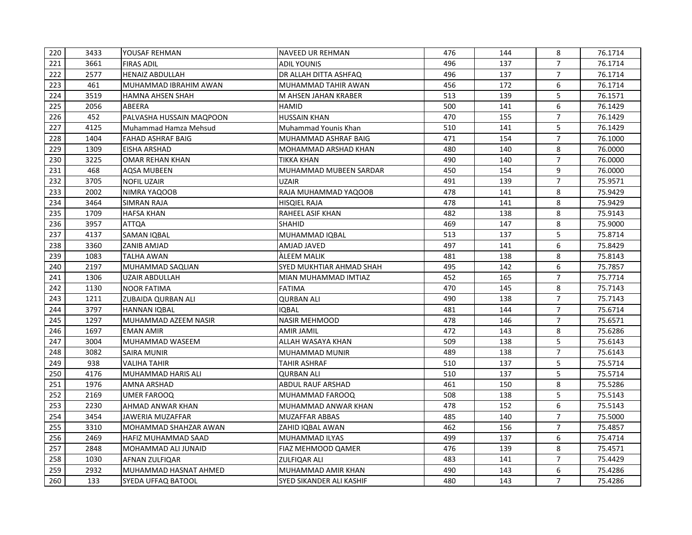| 220 | 3433 | YOUSAF REHMAN            | <b>NAVEED UR REHMAN</b>         | 476 | 144 | 8              | 76.1714 |
|-----|------|--------------------------|---------------------------------|-----|-----|----------------|---------|
| 221 | 3661 | <b>FIRAS ADIL</b>        | <b>ADIL YOUNIS</b>              | 496 | 137 | $\overline{7}$ | 76.1714 |
| 222 | 2577 | <b>HENAIZ ABDULLAH</b>   | DR ALLAH DITTA ASHFAQ           | 496 | 137 | $\overline{7}$ | 76.1714 |
| 223 | 461  | MUHAMMAD IBRAHIM AWAN    | MUHAMMAD TAHIR AWAN             | 456 | 172 | 6              | 76.1714 |
| 224 | 3519 | <b>HAMNA AHSEN SHAH</b>  | M AHSEN JAHAN KRABER            | 513 | 139 | 5              | 76.1571 |
| 225 | 2056 | ABEERA                   | <b>HAMID</b>                    | 500 | 141 | 6              | 76.1429 |
| 226 | 452  | PALVASHA HUSSAIN MAQPOON | <b>HUSSAIN KHAN</b>             | 470 | 155 | $\overline{7}$ | 76.1429 |
| 227 | 4125 | Muhammad Hamza Mehsud    | Muhammad Younis Khan            | 510 | 141 | 5              | 76.1429 |
| 228 | 1404 | <b>FAHAD ASHRAF BAIG</b> | MUHAMMAD ASHRAF BAIG            | 471 | 154 | $\overline{7}$ | 76.1000 |
| 229 | 1309 | EISHA ARSHAD             | MOHAMMAD ARSHAD KHAN            | 480 | 140 | 8              | 76.0000 |
| 230 | 3225 | OMAR REHAN KHAN          | TIKKA KHAN                      | 490 | 140 | $\overline{7}$ | 76.0000 |
| 231 | 468  | <b>AQSA MUBEEN</b>       | MUHAMMAD MUBEEN SARDAR          | 450 | 154 | 9              | 76.0000 |
| 232 | 3705 | <b>NOFIL UZAIR</b>       | <b>UZAIR</b>                    | 491 | 139 | $\overline{7}$ | 75.9571 |
| 233 | 2002 | NIMRA YAQOOB             | RAJA MUHAMMAD YAQOOB            | 478 | 141 | 8              | 75.9429 |
| 234 | 3464 | <b>SIMRAN RAJA</b>       | <b>HISQIEL RAJA</b>             | 478 | 141 | 8              | 75.9429 |
| 235 | 1709 | <b>HAFSA KHAN</b>        | <b>RAHEEL ASIF KHAN</b>         | 482 | 138 | 8              | 75.9143 |
| 236 | 3957 | ATTQA                    | SHAHID                          | 469 | 147 | 8              | 75.9000 |
| 237 | 4137 | SAMAN IQBAL              | MUHAMMAD IQBAL                  | 513 | 137 | 5              | 75.8714 |
| 238 | 3360 | ZANIB AMJAD              | AMJAD JAVED                     | 497 | 141 | 6              | 75.8429 |
| 239 | 1083 | <b>TALHA AWAN</b>        | <b>ALEEM MALIK</b>              | 481 | 138 | 8              | 75.8143 |
| 240 | 2197 | MUHAMMAD SAQLIAN         | <b>SYED MUKHTIAR AHMAD SHAH</b> | 495 | 142 | 6              | 75.7857 |
| 241 | 1306 | <b>UZAIR ABDULLAH</b>    | MIAN MUHAMMAD IMTIAZ            | 452 | 165 | $\overline{7}$ | 75.7714 |
| 242 | 1130 | <b>NOOR FATIMA</b>       | <b>FATIMA</b>                   | 470 | 145 | 8              | 75.7143 |
| 243 | 1211 | ZUBAIDA QURBAN ALI       | <b>QURBAN ALI</b>               | 490 | 138 | $\overline{7}$ | 75.7143 |
| 244 | 3797 | <b>HANNAN IQBAL</b>      | <b>IOBAL</b>                    | 481 | 144 | $\overline{7}$ | 75.6714 |
| 245 | 1297 | MUHAMMAD AZEEM NASIR     | <b>NASIR MEHMOOD</b>            | 478 | 146 | $\overline{7}$ | 75.6571 |
| 246 | 1697 | <b>EMAN AMIR</b>         | <b>AMIR JAMIL</b>               | 472 | 143 | 8              | 75.6286 |
| 247 | 3004 | MUHAMMAD WASEEM          | ALLAH WASAYA KHAN               | 509 | 138 | 5              | 75.6143 |
| 248 | 3082 | <b>SAIRA MUNIR</b>       | <b>MUHAMMAD MUNIR</b>           | 489 | 138 | $\overline{7}$ | 75.6143 |
| 249 | 938  | <b>VALIHA TAHIR</b>      | TAHIR ASHRAF                    | 510 | 137 | 5              | 75.5714 |
| 250 | 4176 | MUHAMMAD HARIS ALI       | <b>QURBAN ALI</b>               | 510 | 137 | 5              | 75.5714 |
| 251 | 1976 | AMNA ARSHAD              | <b>ABDUL RAUF ARSHAD</b>        | 461 | 150 | 8              | 75.5286 |
| 252 | 2169 | UMER FAROOQ              | MUHAMMAD FAROOQ                 | 508 | 138 | 5              | 75.5143 |
| 253 | 2230 | AHMAD ANWAR KHAN         | MUHAMMAD ANWAR KHAN             | 478 | 152 | 6              | 75.5143 |
| 254 | 3454 | <b>JAWERIA MUZAFFAR</b>  | <b>MUZAFFAR ABBAS</b>           | 485 | 140 | $\overline{7}$ | 75.5000 |
| 255 | 3310 | MOHAMMAD SHAHZAR AWAN    | ZAHID IQBAL AWAN                | 462 | 156 | $\overline{7}$ | 75.4857 |
| 256 | 2469 | HAFIZ MUHAMMAD SAAD      | <b>MUHAMMAD ILYAS</b>           | 499 | 137 | 6              | 75.4714 |
| 257 | 2848 | MOHAMMAD ALI JUNAID      | FIAZ MEHMOOD QAMER              | 476 | 139 | 8              | 75.4571 |
| 258 | 1030 | AFNAN ZULFIQAR           | <b>ZULFIQAR ALI</b>             | 483 | 141 | $\overline{7}$ | 75.4429 |
| 259 | 2932 | MUHAMMAD HASNAT AHMED    | MUHAMMAD AMIR KHAN              | 490 | 143 | 6              | 75.4286 |
| 260 | 133  | SYEDA UFFAQ BATOOL       | SYED SIKANDER ALI KASHIF        | 480 | 143 | $\overline{7}$ | 75.4286 |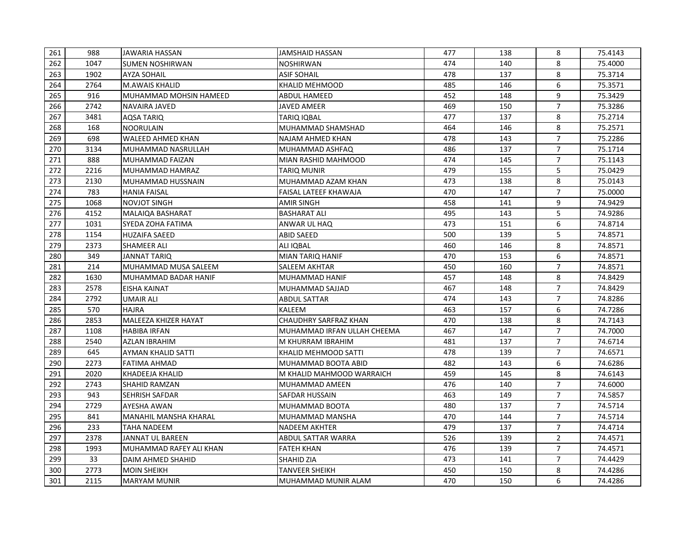| 261 | 988  | JAWARIA HASSAN              | <b>JAMSHAID HASSAN</b>       | 477 | 138 | 8              | 75.4143 |
|-----|------|-----------------------------|------------------------------|-----|-----|----------------|---------|
| 262 | 1047 | <b>SUMEN NOSHIRWAN</b>      | <b>NOSHIRWAN</b>             | 474 | 140 | 8              | 75.4000 |
| 263 | 1902 | <b>AYZA SOHAIL</b>          | <b>ASIF SOHAIL</b>           | 478 | 137 | 8              | 75.3714 |
| 264 | 2764 | <b>M.AWAIS KHALID</b>       | <b>KHALID MEHMOOD</b>        | 485 | 146 | 6              | 75.3571 |
| 265 | 916  | MUHAMMAD MOHSIN HAMEED      | ABDUL HAMEED                 | 452 | 148 | 9              | 75.3429 |
| 266 | 2742 | NAVAIRA JAVED               | <b>JAVED AMEER</b>           | 469 | 150 | $\overline{7}$ | 75.3286 |
| 267 | 3481 | <b>AQSA TARIQ</b>           | TARIQ IQBAL                  | 477 | 137 | 8              | 75.2714 |
| 268 | 168  | <b>NOORULAIN</b>            | MUHAMMAD SHAMSHAD            | 464 | 146 | 8              | 75.2571 |
| 269 | 698  | WALEED AHMED KHAN           | <b>NAJAM AHMED KHAN</b>      | 478 | 143 | $\overline{7}$ | 75.2286 |
| 270 | 3134 | IMUHAMMAD NASRULLAH         | MUHAMMAD ASHFAQ              | 486 | 137 | $\overline{7}$ | 75.1714 |
| 271 | 888  | MUHAMMAD FAIZAN             | MIAN RASHID MAHMOOD          | 474 | 145 | $\overline{7}$ | 75.1143 |
| 272 | 2216 | MUHAMMAD HAMRAZ             | <b>TARIQ MUNIR</b>           | 479 | 155 | 5              | 75.0429 |
| 273 | 2130 | MUHAMMAD HUSSNAIN           | MUHAMMAD AZAM KHAN           | 473 | 138 | 8              | 75.0143 |
| 274 | 783  | <b>HANIA FAISAL</b>         | FAISAL LATEEF KHAWAJA        | 470 | 147 | $\overline{7}$ | 75.0000 |
| 275 | 1068 | <b>NOVJOT SINGH</b>         | <b>AMIR SINGH</b>            | 458 | 141 | 9              | 74.9429 |
| 276 | 4152 | MALAIQA BASHARAT            | <b>BASHARAT ALI</b>          | 495 | 143 | 5              | 74.9286 |
| 277 | 1031 | SYEDA ZOHA FATIMA           | ANWAR UL HAQ                 | 473 | 151 | 6              | 74.8714 |
| 278 | 1154 | <b>HUZAIFA SAEED</b>        | <b>ABID SAEED</b>            | 500 | 139 | 5              | 74.8571 |
| 279 | 2373 | <b>SHAMEER ALI</b>          | ALI IQBAL                    | 460 | 146 | 8              | 74.8571 |
| 280 | 349  | <b>JANNAT TARIO</b>         | <b>MIAN TARIQ HANIF</b>      | 470 | 153 | 6              | 74.8571 |
| 281 | 214  | MUHAMMAD MUSA SALEEM        | <b>SALEEM AKHTAR</b>         | 450 | 160 | $\overline{7}$ | 74.8571 |
| 282 | 1630 | MUHAMMAD BADAR HANIF        | MUHAMMAD HANIF               | 457 | 148 | 8              | 74.8429 |
| 283 | 2578 | EISHA KAINAT                | MUHAMMAD SAJJAD              | 467 | 148 | $\overline{7}$ | 74.8429 |
| 284 | 2792 | <b>UMAIR ALI</b>            | <b>ABDUL SATTAR</b>          | 474 | 143 | $\overline{7}$ | 74.8286 |
| 285 | 570  | <b>HAJRA</b>                | <b>KALEEM</b>                | 463 | 157 | 6              | 74.7286 |
| 286 | 2853 | <b>MALEEZA KHIZER HAYAT</b> | <b>CHAUDHRY SARFRAZ KHAN</b> | 470 | 138 | 8              | 74.7143 |
| 287 | 1108 | <b>HABIBA IRFAN</b>         | MUHAMMAD IRFAN ULLAH CHEEMA  | 467 | 147 | $\overline{7}$ | 74.7000 |
| 288 | 2540 | AZLAN IBRAHIM               | M KHURRAM IBRAHIM            | 481 | 137 | $\overline{7}$ | 74.6714 |
| 289 | 645  | <b>AYMAN KHALID SATTI</b>   | KHALID MEHMOOD SATTI         | 478 | 139 | $\overline{7}$ | 74.6571 |
| 290 | 2273 | FATIMA AHMAD                | MUHAMMAD BOOTA ABID          | 482 | 143 | 6              | 74.6286 |
| 291 | 2020 | KHADEEJA KHALID             | M KHALID MAHMOOD WARRAICH    | 459 | 145 | 8              | 74.6143 |
| 292 | 2743 | SHAHID RAMZAN               | <b>MUHAMMAD AMEEN</b>        | 476 | 140 | $\overline{7}$ | 74.6000 |
| 293 | 943  | <b>SEHRISH SAFDAR</b>       | <b>SAFDAR HUSSAIN</b>        | 463 | 149 | $\overline{7}$ | 74.5857 |
| 294 | 2729 | AYESHA AWAN                 | MUHAMMAD BOOTA               | 480 | 137 | $\overline{7}$ | 74.5714 |
| 295 | 841  | MANAHIL MANSHA KHARAL       | MUHAMMAD MANSHA              | 470 | 144 | $\overline{7}$ | 74.5714 |
| 296 | 233  | <b>TAHA NADEEM</b>          | <b>NADEEM AKHTER</b>         | 479 | 137 | $\overline{7}$ | 74.4714 |
| 297 | 2378 | JANNAT UL BAREEN            | ABDUL SATTAR WARRA           | 526 | 139 | $\overline{2}$ | 74.4571 |
| 298 | 1993 | MUHAMMAD RAFEY ALI KHAN     | <b>FATEH KHAN</b>            | 476 | 139 | $\overline{7}$ | 74.4571 |
| 299 | 33   | DAIM AHMED SHAHID           | <b>SHAHID ZIA</b>            | 473 | 141 | 7              | 74.4429 |
| 300 | 2773 | <b>MOIN SHEIKH</b>          | TANVEER SHEIKH               | 450 | 150 | 8              | 74.4286 |
| 301 | 2115 | <b>MARYAM MUNIR</b>         | MUHAMMAD MUNIR ALAM          | 470 | 150 | 6              | 74.4286 |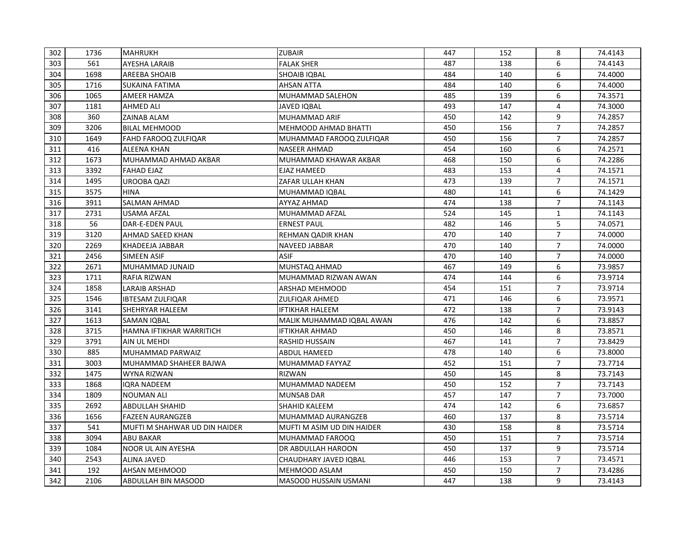| 302 | 1736 | <b>MAHRUKH</b>                | <b>ZUBAIR</b>                | 447 | 152 | 8              | 74.4143 |
|-----|------|-------------------------------|------------------------------|-----|-----|----------------|---------|
| 303 | 561  | <b>AYESHA LARAIB</b>          | <b>FALAK SHER</b>            | 487 | 138 | 6              | 74.4143 |
| 304 | 1698 | <b>AREEBA SHOAIB</b>          | <b>SHOAIB IOBAL</b>          | 484 | 140 | 6              | 74.4000 |
| 305 | 1716 | SUKAINA FATIMA                | <b>AHSAN ATTA</b>            | 484 | 140 | 6              | 74.4000 |
| 306 | 1065 | AMEER HAMZA                   | MUHAMMAD SALEHON             | 485 | 139 | 6              | 74.3571 |
| 307 | 1181 | <b>AHMED ALI</b>              | <b>JAVED IQBAL</b>           | 493 | 147 | 4              | 74.3000 |
| 308 | 360  | ZAINAB ALAM                   | MUHAMMAD ARIF                | 450 | 142 | 9              | 74.2857 |
| 309 | 3206 | <b>BILAL MEHMOOD</b>          | <b>MEHMOOD AHMAD BHATTI</b>  | 450 | 156 | $\overline{7}$ | 74.2857 |
| 310 | 1649 | <b>FAHD FAROOQ ZULFIQAR</b>   | MUHAMMAD FAROOQ ZULFIQAR     | 450 | 156 | $\overline{7}$ | 74.2857 |
| 311 | 416  | <b>ALEENA KHAN</b>            | <b>NASEER AHMAD</b>          | 454 | 160 | 6              | 74.2571 |
| 312 | 1673 | MUHAMMAD AHMAD AKBAR          | MUHAMMAD KHAWAR AKBAR        | 468 | 150 | 6              | 74.2286 |
| 313 | 3392 | <b>FAHAD EJAZ</b>             | <b>EJAZ HAMEED</b>           | 483 | 153 | 4              | 74.1571 |
| 314 | 1495 | <b>UROOBA QAZI</b>            | ZAFAR ULLAH KHAN             | 473 | 139 | $\overline{7}$ | 74.1571 |
| 315 | 3575 | <b>HINA</b>                   | MUHAMMAD IQBAL               | 480 | 141 | 6              | 74.1429 |
| 316 | 3911 | <b>SALMAN AHMAD</b>           | <b>AYYAZ AHMAD</b>           | 474 | 138 | $\overline{7}$ | 74.1143 |
| 317 | 2731 | USAMA AFZAL                   | MUHAMMAD AFZAL               | 524 | 145 | 1              | 74.1143 |
| 318 | 56   | DAR-E-EDEN PAUL               | <b>ERNEST PAUL</b>           | 482 | 146 | 5              | 74.0571 |
| 319 | 3120 | AHMAD SAEED KHAN              | <b>REHMAN QADIR KHAN</b>     | 470 | 140 | $\overline{7}$ | 74.0000 |
| 320 | 2269 | <b>KHADEEJA JABBAR</b>        | <b>NAVEED JABBAR</b>         | 470 | 140 | $\overline{7}$ | 74.0000 |
| 321 | 2456 | SIMEEN ASIF                   | <b>ASIF</b>                  | 470 | 140 | $\overline{7}$ | 74.0000 |
| 322 | 2671 | MUHAMMAD JUNAID               | MUHSTAQ AHMAD                | 467 | 149 | 6              | 73.9857 |
| 323 | 1711 | RAFIA RIZWAN                  | MUHAMMAD RIZWAN AWAN         | 474 | 144 | 6              | 73.9714 |
| 324 | 1858 | <b>LARAIB ARSHAD</b>          | ARSHAD MEHMOOD               | 454 | 151 | $\overline{7}$ | 73.9714 |
| 325 | 1546 | <b>IBTESAM ZULFIQAR</b>       | <b>ZULFIQAR AHMED</b>        | 471 | 146 | 6              | 73.9571 |
| 326 | 3141 | <b>SHEHRYAR HALEEM</b>        | <b>IFTIKHAR HALEEM</b>       | 472 | 138 | $\overline{7}$ | 73.9143 |
| 327 | 1613 | <b>SAMAN IOBAL</b>            | MALIK MUHAMMAD IQBAL AWAN    | 476 | 142 | 6              | 73.8857 |
| 328 | 3715 | HAMNA IFTIKHAR WARRITICH      | <b>IFTIKHAR AHMAD</b>        | 450 | 146 | 8              | 73.8571 |
| 329 | 3791 | AIN UL MEHDI                  | <b>RASHID HUSSAIN</b>        | 467 | 141 | $\overline{7}$ | 73.8429 |
| 330 | 885  | MUHAMMAD PARWAIZ              | ABDUL HAMEED                 | 478 | 140 | 6              | 73.8000 |
| 331 | 3003 | MUHAMMAD SHAHEER BAJWA        | MUHAMMAD FAYYAZ              | 452 | 151 | $\overline{7}$ | 73.7714 |
| 332 | 1475 | WYNA RIZWAN                   | <b>RIZWAN</b>                | 450 | 145 | 8              | 73.7143 |
| 333 | 1868 | <b>IQRA NADEEM</b>            | <b>MUHAMMAD NADEEM</b>       | 450 | 152 | $\overline{7}$ | 73.7143 |
| 334 | 1809 | NOUMAN ALI                    | <b>MUNSAB DAR</b>            | 457 | 147 | $\overline{7}$ | 73.7000 |
| 335 | 2692 | <b>ABDULLAH SHAHID</b>        | <b>SHAHID KALEEM</b>         | 474 | 142 | 6              | 73.6857 |
| 336 | 1656 | <b>FAZEEN AURANGZEB</b>       | MUHAMMAD AURANGZEB           | 460 | 137 | 8              | 73.5714 |
| 337 | 541  | MUFTI M SHAHWAR UD DIN HAIDER | MUFTI M ASIM UD DIN HAIDER   | 430 | 158 | 8              | 73.5714 |
| 338 | 3094 | <b>ABU BAKAR</b>              | MUHAMMAD FAROOQ              | 450 | 151 | $\overline{7}$ | 73.5714 |
| 339 | 1084 | <b>NOOR UL AIN AYESHA</b>     | DR ABDULLAH HAROON           | 450 | 137 | 9              | 73.5714 |
| 340 | 2543 | <b>ALINA JAVED</b>            | CHAUDHARY JAVED IQBAL        | 446 | 153 | $\overline{7}$ | 73.4571 |
| 341 | 192  | <b>AHSAN MEHMOOD</b>          | MEHMOOD ASLAM                | 450 | 150 | $\overline{7}$ | 73.4286 |
| 342 | 2106 | <b>ABDULLAH BIN MASOOD</b>    | <b>MASOOD HUSSAIN USMANI</b> | 447 | 138 | 9              | 73.4143 |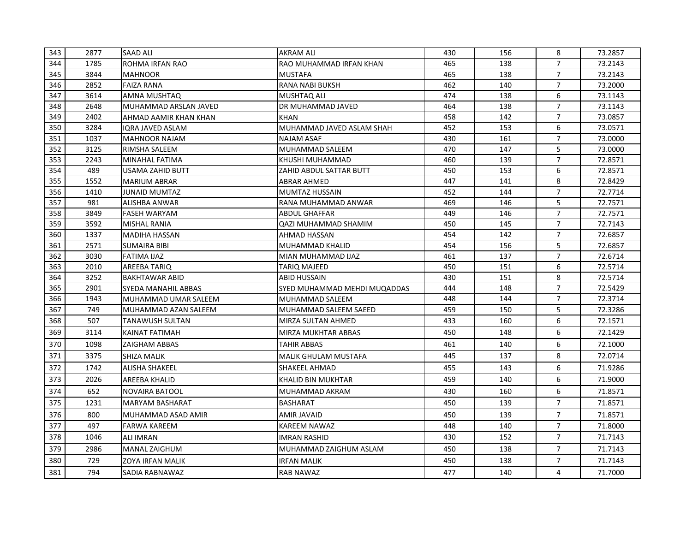| 343 | 2877 | <b>SAAD ALI</b>            | <b>AKRAM ALI</b>             | 430 | 156 | 8              | 73.2857 |
|-----|------|----------------------------|------------------------------|-----|-----|----------------|---------|
| 344 | 1785 | ROHMA IRFAN RAO            | RAO MUHAMMAD IRFAN KHAN      | 465 | 138 | $\overline{7}$ | 73.2143 |
| 345 | 3844 | <b>MAHNOOR</b>             | <b>MUSTAFA</b>               | 465 | 138 | $\overline{7}$ | 73.2143 |
| 346 | 2852 | <b>FAIZA RANA</b>          | <b>RANA NABI BUKSH</b>       | 462 | 140 | $\overline{7}$ | 73.2000 |
| 347 | 3614 | AMNA MUSHTAQ               | <b>MUSHTAQ ALI</b>           | 474 | 138 | 6              | 73.1143 |
| 348 | 2648 | MUHAMMAD ARSLAN JAVED      | DR MUHAMMAD JAVED            | 464 | 138 | $\overline{7}$ | 73.1143 |
| 349 | 2402 | AHMAD AAMIR KHAN KHAN      | <b>KHAN</b>                  | 458 | 142 | $\overline{7}$ | 73.0857 |
| 350 | 3284 | <b>IQRA JAVED ASLAM</b>    | MUHAMMAD JAVED ASLAM SHAH    | 452 | 153 | 6              | 73.0571 |
| 351 | 1037 | <b>MAHNOOR NAJAM</b>       | <b>NAJAM ASAF</b>            | 430 | 161 | $\overline{7}$ | 73.0000 |
| 352 | 3125 | <b>RIMSHA SALEEM</b>       | MUHAMMAD SALEEM              | 470 | 147 | 5              | 73.0000 |
| 353 | 2243 | MINAHAL FATIMA             | KHUSHI MUHAMMAD              | 460 | 139 | $\overline{7}$ | 72.8571 |
| 354 | 489  | <b>USAMA ZAHID BUTT</b>    | ZAHID ABDUL SATTAR BUTT      | 450 | 153 | 6              | 72.8571 |
| 355 | 1552 | MARIUM ABRAR               | <b>ABRAR AHMED</b>           | 447 | 141 | 8              | 72.8429 |
| 356 | 1410 | JUNAID MUMTAZ              | MUMTAZ HUSSAIN               | 452 | 144 | $\overline{7}$ | 72.7714 |
| 357 | 981  | <b>ALISHBA ANWAR</b>       | RANA MUHAMMAD ANWAR          | 469 | 146 | 5              | 72.7571 |
| 358 | 3849 | <b>FASEH WARYAM</b>        | <b>ABDUL GHAFFAR</b>         | 449 | 146 | $\overline{7}$ | 72.7571 |
| 359 | 3592 | <b>MISHAL RANIA</b>        | QAZI MUHAMMAD SHAMIM         | 450 | 145 | $\overline{7}$ | 72.7143 |
| 360 | 1337 | <b>MADIHA HASSAN</b>       | <b>AHMAD HASSAN</b>          | 454 | 142 | $\overline{7}$ | 72.6857 |
| 361 | 2571 | <b>SUMAIRA BIBI</b>        | <b>MUHAMMAD KHALID</b>       | 454 | 156 | 5              | 72.6857 |
| 362 | 3030 | <b>FATIMA IJAZ</b>         | MIAN MUHAMMAD IJAZ           | 461 | 137 | $\overline{7}$ | 72.6714 |
| 363 | 2010 | AREEBA TARIQ               | TARIQ MAJEED                 | 450 | 151 | 6              | 72.5714 |
| 364 | 3252 | <b>BAKHTAWAR ABID</b>      | <b>ABID HUSSAIN</b>          | 430 | 151 | 8              | 72.5714 |
| 365 | 2901 | <b>SYEDA MANAHIL ABBAS</b> | SYED MUHAMMAD MEHDI MUQADDAS | 444 | 148 | $\overline{7}$ | 72.5429 |
| 366 | 1943 | IMUHAMMAD UMAR SALEEM      | <b>MUHAMMAD SALEEM</b>       | 448 | 144 | $\overline{7}$ | 72.3714 |
| 367 | 749  | MUHAMMAD AZAN SALEEM       | MUHAMMAD SALEEM SAEED        | 459 | 150 | 5              | 72.3286 |
| 368 | 507  | <b>TANAWUSH SULTAN</b>     | <b>MIRZA SULTAN AHMED</b>    | 433 | 160 | 6              | 72.1571 |
| 369 | 3114 | <b>KAINAT FATIMAH</b>      | <b>MIRZA MUKHTAR ABBAS</b>   | 450 | 148 | 6              | 72.1429 |
| 370 | 1098 | <b>ZAIGHAM ABBAS</b>       | TAHIR ABBAS                  | 461 | 140 | 6              | 72.1000 |
| 371 | 3375 | <b>SHIZA MALIK</b>         | <b>MALIK GHULAM MUSTAFA</b>  | 445 | 137 | 8              | 72.0714 |
| 372 | 1742 | ALISHA SHAKEEL             | <b>SHAKEEL AHMAD</b>         | 455 | 143 | 6              | 71.9286 |
| 373 | 2026 | <b>AREEBA KHALID</b>       | KHALID BIN MUKHTAR           | 459 | 140 | 6              | 71.9000 |
| 374 | 652  | <b>NOVAIRA BATOOL</b>      | MUHAMMAD AKRAM               | 430 | 160 | 6              | 71.8571 |
| 375 | 1231 | <b>MARYAM BASHARAT</b>     | <b>BASHARAT</b>              | 450 | 139 | $\overline{7}$ | 71.8571 |
| 376 | 800  | MUHAMMAD ASAD AMIR         | <b>AMIR JAVAID</b>           | 450 | 139 | $\overline{7}$ | 71.8571 |
| 377 | 497  | <b>FARWA KAREEM</b>        | <b>KAREEM NAWAZ</b>          | 448 | 140 | $\overline{7}$ | 71.8000 |
| 378 | 1046 | <b>ALI IMRAN</b>           | <b>IMRAN RASHID</b>          | 430 | 152 | $\overline{7}$ | 71.7143 |
| 379 | 2986 | lMANAL ZAIGHUM             | IMUHAMMAD ZAIGHUM ASLAM      | 450 | 138 | $\overline{7}$ | 71.7143 |
| 380 | 729  | <b>ZOYA IRFAN MALIK</b>    | <b>IRFAN MALIK</b>           | 450 | 138 | $\overline{7}$ | 71.7143 |
| 381 | 794  | <b>SADIA RABNAWAZ</b>      | <b>RAB NAWAZ</b>             | 477 | 140 | 4              | 71.7000 |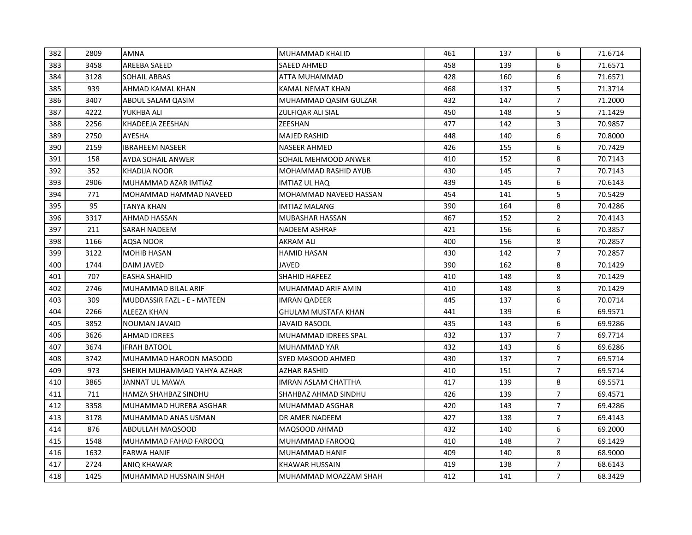| 382 | 2809 | AMNA                        | MUHAMMAD KHALID            | 461 | 137 | 6              | 71.6714 |
|-----|------|-----------------------------|----------------------------|-----|-----|----------------|---------|
| 383 | 3458 | AREEBA SAEED                | <b>SAEED AHMED</b>         | 458 | 139 | 6              | 71.6571 |
| 384 | 3128 | SOHAIL ABBAS                | ATTA MUHAMMAD              | 428 | 160 | 6              | 71.6571 |
| 385 | 939  | AHMAD KAMAL KHAN            | KAMAL NEMAT KHAN           | 468 | 137 | 5              | 71.3714 |
| 386 | 3407 | ABDUL SALAM QASIM           | MUHAMMAD QASIM GULZAR      | 432 | 147 | $\overline{7}$ | 71.2000 |
| 387 | 4222 | YUKHBA ALI                  | ZULFIQAR ALI SIAL          | 450 | 148 | 5              | 71.1429 |
| 388 | 2256 | KHADEEJA ZEESHAN            | ZEESHAN                    | 477 | 142 | 3              | 70.9857 |
| 389 | 2750 | AYESHA                      | MAJED RASHID               | 448 | 140 | 6              | 70.8000 |
| 390 | 2159 | <b>IBRAHEEM NASEER</b>      | <b>NASEER AHMED</b>        | 426 | 155 | 6              | 70.7429 |
| 391 | 158  | AYDA SOHAIL ANWER           | SOHAIL MEHMOOD ANWER       | 410 | 152 | 8              | 70.7143 |
| 392 | 352  | KHADIJA NOOR                | MOHAMMAD RASHID AYUB       | 430 | 145 | $\overline{7}$ | 70.7143 |
| 393 | 2906 | MUHAMMAD AZAR IMTIAZ        | IMTIAZ UL HAQ              | 439 | 145 | 6              | 70.6143 |
| 394 | 771  | IMOHAMMAD HAMMAD NAVEED     | MOHAMMAD NAVEED HASSAN     | 454 | 141 | 5              | 70.5429 |
| 395 | 95   | TANYA KHAN                  | <b>IMTIAZ MALANG</b>       | 390 | 164 | 8              | 70.4286 |
| 396 | 3317 | <b>AHMAD HASSAN</b>         | <b>MUBASHAR HASSAN</b>     | 467 | 152 | $\overline{2}$ | 70.4143 |
| 397 | 211  | SARAH NADEEM                | <b>NADEEM ASHRAF</b>       | 421 | 156 | 6              | 70.3857 |
| 398 | 1166 | <b>AQSA NOOR</b>            | AKRAM ALI                  | 400 | 156 | 8              | 70.2857 |
| 399 | 3122 | <b>MOHIB HASAN</b>          | <b>HAMID HASAN</b>         | 430 | 142 | $\overline{7}$ | 70.2857 |
| 400 | 1744 | <b>DAIM JAVED</b>           | <b>JAVED</b>               | 390 | 162 | 8              | 70.1429 |
| 401 | 707  | <b>EASHA SHAHID</b>         | <b>SHAHID HAFEEZ</b>       | 410 | 148 | 8              | 70.1429 |
| 402 | 2746 | MUHAMMAD BILAL ARIF         | MUHAMMAD ARIF AMIN         | 410 | 148 | 8              | 70.1429 |
| 403 | 309  | MUDDASSIR FAZL - E - MATEEN | <b>IMRAN QADEER</b>        | 445 | 137 | 6              | 70.0714 |
| 404 | 2266 | ALEEZA KHAN                 | <b>GHULAM MUSTAFA KHAN</b> | 441 | 139 | 6              | 69.9571 |
| 405 | 3852 | <b>NOUMAN JAVAID</b>        | JAVAID RASOOL              | 435 | 143 | 6              | 69.9286 |
| 406 | 3626 | <b>AHMAD IDREES</b>         | MUHAMMAD IDREES SPAL       | 432 | 137 | $\overline{7}$ | 69.7714 |
| 407 | 3674 | <b>IFRAH BATOOL</b>         | <b>MUHAMMAD YAR</b>        | 432 | 143 | 6              | 69.6286 |
| 408 | 3742 | MUHAMMAD HAROON MASOOD      | SYED MASOOD AHMED          | 430 | 137 | $\overline{7}$ | 69.5714 |
| 409 | 973  | SHEIKH MUHAMMAD YAHYA AZHAR | <b>AZHAR RASHID</b>        | 410 | 151 | $\overline{7}$ | 69.5714 |
| 410 | 3865 | JANNAT UL MAWA              | <b>IMRAN ASLAM CHATTHA</b> | 417 | 139 | 8              | 69.5571 |
| 411 | 711  | HAMZA SHAHBAZ SINDHU        | SHAHBAZ AHMAD SINDHU       | 426 | 139 | $\overline{7}$ | 69.4571 |
| 412 | 3358 | MUHAMMAD HURERA ASGHAR      | MUHAMMAD ASGHAR            | 420 | 143 | $\overline{7}$ | 69.4286 |
| 413 | 3178 | MUHAMMAD ANAS USMAN         | DR AMER NADEEM             | 427 | 138 | $\overline{7}$ | 69.4143 |
| 414 | 876  | ABDULLAH MAQSOOD            | MAQSOOD AHMAD              | 432 | 140 | 6              | 69.2000 |
| 415 | 1548 | MUHAMMAD FAHAD FAROOQ       | MUHAMMAD FAROOQ            | 410 | 148 | $\overline{7}$ | 69.1429 |
| 416 | 1632 | <b>FARWA HANIF</b>          | MUHAMMAD HANIF             | 409 | 140 | 8              | 68.9000 |
| 417 | 2724 | ANIQ KHAWAR                 | KHAWAR HUSSAIN             | 419 | 138 | 7              | 68.6143 |
| 418 | 1425 | MUHAMMAD HUSSNAIN SHAH      | MUHAMMAD MOAZZAM SHAH      | 412 | 141 | $\overline{7}$ | 68.3429 |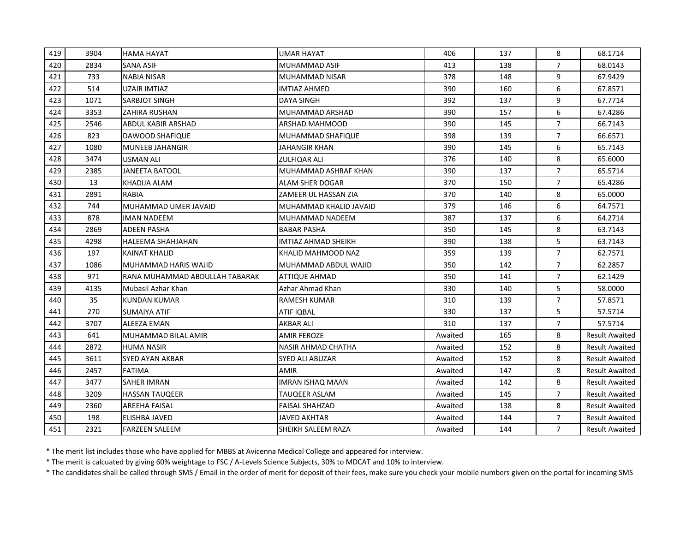| 419 | 3904 | <b>HAMA HAYAT</b>              | <b>UMAR HAYAT</b>          | 406     | 137 | 8              | 68.1714               |
|-----|------|--------------------------------|----------------------------|---------|-----|----------------|-----------------------|
| 420 | 2834 | <b>SANA ASIF</b>               | <b>MUHAMMAD ASIF</b>       | 413     | 138 | $\overline{7}$ | 68.0143               |
| 421 | 733  | <b>NABIA NISAR</b>             | MUHAMMAD NISAR             | 378     | 148 | 9              | 67.9429               |
| 422 | 514  | UZAIR IMTIAZ                   | <b>IMTIAZ AHMED</b>        | 390     | 160 | 6              | 67.8571               |
| 423 | 1071 | SARBJOT SINGH                  | DAYA SINGH                 | 392     | 137 | 9              | 67.7714               |
| 424 | 3353 | <b>ZAHIRA RUSHAN</b>           | MUHAMMAD ARSHAD            | 390     | 157 | 6              | 67.4286               |
| 425 | 2546 | <b>ABDUL KABIR ARSHAD</b>      | <b>ARSHAD MAHMOOD</b>      | 390     | 145 | $\overline{7}$ | 66.7143               |
| 426 | 823  | <b>DAWOOD SHAFIQUE</b>         | MUHAMMAD SHAFIQUE          | 398     | 139 | $\overline{7}$ | 66.6571               |
| 427 | 1080 | <b>MUNEEB JAHANGIR</b>         | JAHANGIR KHAN              | 390     | 145 | 6              | 65.7143               |
| 428 | 3474 | USMAN ALI                      | <b>ZULFIQAR ALI</b>        | 376     | 140 | 8              | 65.6000               |
| 429 | 2385 | <b>JANEETA BATOOL</b>          | MUHAMMAD ASHRAF KHAN       | 390     | 137 | $\overline{7}$ | 65.5714               |
| 430 | 13   | KHADIJA ALAM                   | ALAM SHER DOGAR            | 370     | 150 | $\overline{7}$ | 65.4286               |
| 431 | 2891 | <b>RABIA</b>                   | ZAMEER UL HASSAN ZIA       | 370     | 140 | 8              | 65.0000               |
| 432 | 744  | MUHAMMAD UMER JAVAID           | MUHAMMAD KHALID JAVAID     | 379     | 146 | 6              | 64.7571               |
| 433 | 878  | <b>IMAN NADEEM</b>             | MUHAMMAD NADEEM            | 387     | 137 | 6              | 64.2714               |
| 434 | 2869 | ADEEN PASHA                    | <b>BABAR PASHA</b>         | 350     | 145 | 8              | 63.7143               |
| 435 | 4298 | <b>HALEEMA SHAHJAHAN</b>       | <b>IMTIAZ AHMAD SHEIKH</b> | 390     | 138 | 5              | 63.7143               |
| 436 | 197  | <b>KAINAT KHALID</b>           | KHALID MAHMOOD NAZ         | 359     | 139 | $\overline{7}$ | 62.7571               |
| 437 | 1086 | MUHAMMAD HARIS WAJID           | MUHAMMAD ABDUL WAJID       | 350     | 142 | $\overline{7}$ | 62.2857               |
| 438 | 971  | RANA MUHAMMAD ABDULLAH TABARAK | ATTIQUE AHMAD              | 350     | 141 | $\overline{7}$ | 62.1429               |
| 439 | 4135 | lMubasil Azhar Khan            | Azhar Ahmad Khan           | 330     | 140 | 5              | 58.0000               |
| 440 | 35   | KUNDAN KUMAR                   | <b>RAMESH KUMAR</b>        | 310     | 139 | $\overline{7}$ | 57.8571               |
| 441 | 270  | <b>SUMAIYA ATIF</b>            | <b>ATIF IQBAL</b>          | 330     | 137 | 5              | 57.5714               |
| 442 | 3707 | ALEEZA EMAN                    | AKBAR ALI                  | 310     | 137 | $\overline{7}$ | 57.5714               |
| 443 | 641  | MUHAMMAD BILAL AMIR            | <b>AMIR FEROZE</b>         | Awaited | 165 | 8              | <b>Result Awaited</b> |
| 444 | 2872 | <b>HUMA NASIR</b>              | <b>NASIR AHMAD CHATHA</b>  | Awaited | 152 | 8              | <b>Result Awaited</b> |
| 445 | 3611 | SYED AYAN AKBAR                | <b>SYED ALI ABUZAR</b>     | Awaited | 152 | 8              | <b>Result Awaited</b> |
| 446 | 2457 | <b>FATIMA</b>                  | <b>AMIR</b>                | Awaited | 147 | 8              | <b>Result Awaited</b> |
| 447 | 3477 | <b>SAHER IMRAN</b>             | <b>IMRAN ISHAQ MAAN</b>    | Awaited | 142 | 8              | <b>Result Awaited</b> |
| 448 | 3209 | HASSAN TAUQEER                 | TAUQEER ASLAM              | Awaited | 145 | $\overline{7}$ | <b>Result Awaited</b> |
| 449 | 2360 | <b>AREEHA FAISAL</b>           | <b>FAISAL SHAHZAD</b>      | Awaited | 138 | 8              | <b>Result Awaited</b> |
| 450 | 198  | <b>ELISHBA JAVED</b>           | <b>JAVED AKHTAR</b>        | Awaited | 144 | $\overline{7}$ | <b>Result Awaited</b> |
| 451 | 2321 | <b>FARZEEN SALEEM</b>          | SHEIKH SALEEM RAZA         | Awaited | 144 | $\overline{7}$ | <b>Result Awaited</b> |

\* The merit list includes those who have applied for MBBS at Avicenna Medical College and appeared for interview.

\* The merit is calcuated by giving 60% weightage to FSC / A-Levels Science Subjects, 30% to MDCAT and 10% to interview.

\* The candidates shall be called through SMS / Email in the order of merit for deposit of their fees, make sure you check your mobile numbers given on the portal for incoming SMS